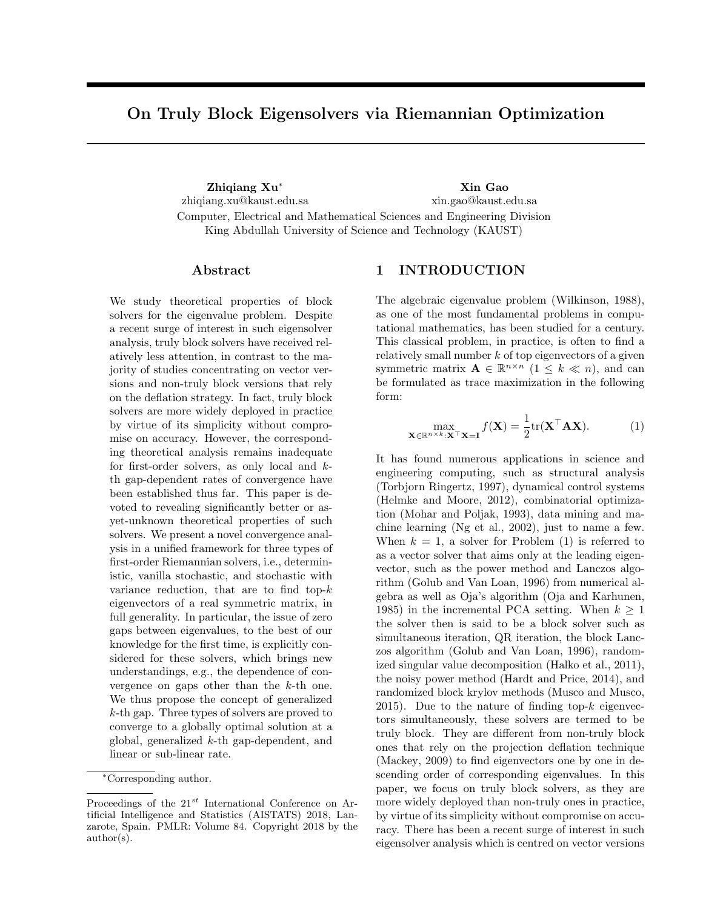# On Truly Block Eigensolvers via Riemannian Optimization

Zhiqiang Xu<sup>∗</sup> Xin Gao zhiqiang.xu@kaust.edu.sa xin.gao@kaust.edu.sa Computer, Electrical and Mathematical Sciences and Engineering Division King Abdullah University of Science and Technology (KAUST)

#### Abstract

We study theoretical properties of block solvers for the eigenvalue problem. Despite a recent surge of interest in such eigensolver analysis, truly block solvers have received relatively less attention, in contrast to the majority of studies concentrating on vector versions and non-truly block versions that rely on the deflation strategy. In fact, truly block solvers are more widely deployed in practice by virtue of its simplicity without compromise on accuracy. However, the corresponding theoretical analysis remains inadequate for first-order solvers, as only local and kth gap-dependent rates of convergence have been established thus far. This paper is devoted to revealing significantly better or asyet-unknown theoretical properties of such solvers. We present a novel convergence analysis in a unified framework for three types of first-order Riemannian solvers, i.e., deterministic, vanilla stochastic, and stochastic with variance reduction, that are to find top-k eigenvectors of a real symmetric matrix, in full generality. In particular, the issue of zero gaps between eigenvalues, to the best of our knowledge for the first time, is explicitly considered for these solvers, which brings new understandings, e.g., the dependence of convergence on gaps other than the  $k$ -th one. We thus propose the concept of generalized k-th gap. Three types of solvers are proved to converge to a globally optimal solution at a global, generalized k-th gap-dependent, and linear or sub-linear rate.

# 1 INTRODUCTION

The algebraic eigenvalue problem (Wilkinson, 1988), as one of the most fundamental problems in computational mathematics, has been studied for a century. This classical problem, in practice, is often to find a relatively small number  $k$  of top eigenvectors of a given symmetric matrix  $\mathbf{A} \in \mathbb{R}^{n \times n}$   $(1 \leq k \ll n)$ , and can be formulated as trace maximization in the following form:

$$
\max_{\mathbf{X} \in \mathbb{R}^{n \times k}: \mathbf{X}^{\top} \mathbf{X} = \mathbf{I}} f(\mathbf{X}) = \frac{1}{2} \text{tr}(\mathbf{X}^{\top} \mathbf{A} \mathbf{X}).
$$
 (1)

It has found numerous applications in science and engineering computing, such as structural analysis (Torbjorn Ringertz, 1997), dynamical control systems (Helmke and Moore, 2012), combinatorial optimization (Mohar and Poljak, 1993), data mining and machine learning (Ng et al., 2002), just to name a few. When  $k = 1$ , a solver for Problem (1) is referred to as a vector solver that aims only at the leading eigenvector, such as the power method and Lanczos algorithm (Golub and Van Loan, 1996) from numerical algebra as well as Oja's algorithm (Oja and Karhunen, 1985) in the incremental PCA setting. When  $k \geq 1$ the solver then is said to be a block solver such as simultaneous iteration, QR iteration, the block Lanczos algorithm (Golub and Van Loan, 1996), randomized singular value decomposition (Halko et al., 2011), the noisy power method (Hardt and Price, 2014), and randomized block krylov methods (Musco and Musco, 2015). Due to the nature of finding top- $k$  eigenvectors simultaneously, these solvers are termed to be truly block. They are different from non-truly block ones that rely on the projection deflation technique (Mackey, 2009) to find eigenvectors one by one in descending order of corresponding eigenvalues. In this paper, we focus on truly block solvers, as they are more widely deployed than non-truly ones in practice, by virtue of its simplicity without compromise on accuracy. There has been a recent surge of interest in such eigensolver analysis which is centred on vector versions

<sup>∗</sup>Corresponding author.

Proceedings of the  $21^{st}$  International Conference on Artificial Intelligence and Statistics (AISTATS) 2018, Lanzarote, Spain. PMLR: Volume 84. Copyright 2018 by the author(s).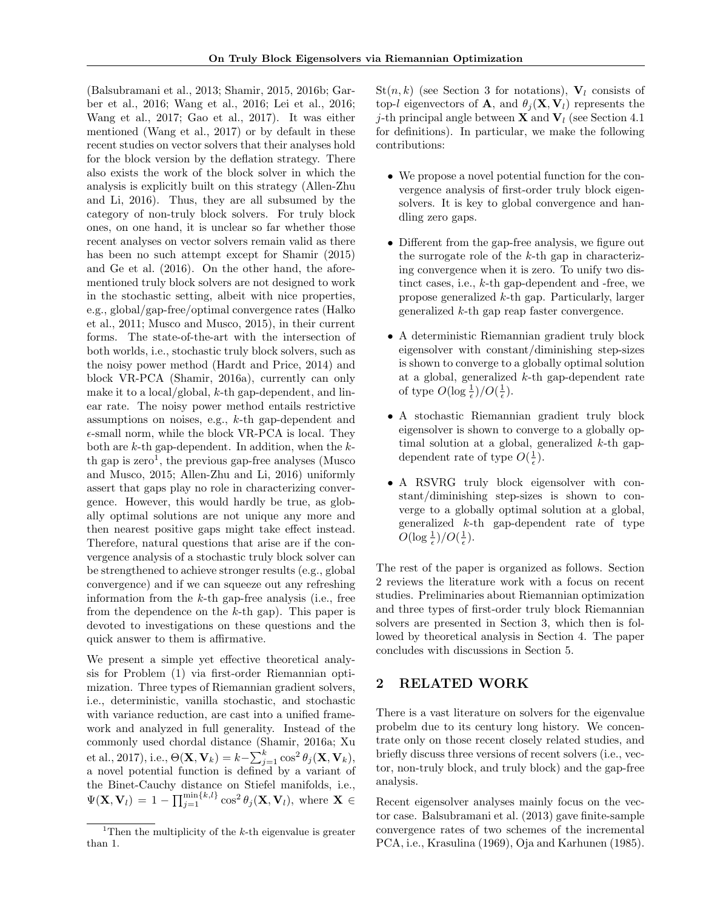(Balsubramani et al., 2013; Shamir, 2015, 2016b; Garber et al., 2016; Wang et al., 2016; Lei et al., 2016; Wang et al., 2017; Gao et al., 2017). It was either mentioned (Wang et al., 2017) or by default in these recent studies on vector solvers that their analyses hold for the block version by the deflation strategy. There also exists the work of the block solver in which the analysis is explicitly built on this strategy (Allen-Zhu and Li, 2016). Thus, they are all subsumed by the category of non-truly block solvers. For truly block ones, on one hand, it is unclear so far whether those recent analyses on vector solvers remain valid as there has been no such attempt except for Shamir (2015) and Ge et al. (2016). On the other hand, the aforementioned truly block solvers are not designed to work in the stochastic setting, albeit with nice properties, e.g., global/gap-free/optimal convergence rates (Halko et al., 2011; Musco and Musco, 2015), in their current forms. The state-of-the-art with the intersection of both worlds, i.e., stochastic truly block solvers, such as the noisy power method (Hardt and Price, 2014) and block VR-PCA (Shamir, 2016a), currently can only make it to a local/global,  $k$ -th gap-dependent, and linear rate. The noisy power method entails restrictive assumptions on noises, e.g., k-th gap-dependent and  $\epsilon$ -small norm, while the block VR-PCA is local. They both are  $k$ -th gap-dependent. In addition, when the  $k$ th gap is  $zero<sup>1</sup>$ , the previous gap-free analyses (Musco and Musco, 2015; Allen-Zhu and Li, 2016) uniformly assert that gaps play no role in characterizing convergence. However, this would hardly be true, as globally optimal solutions are not unique any more and then nearest positive gaps might take effect instead. Therefore, natural questions that arise are if the convergence analysis of a stochastic truly block solver can be strengthened to achieve stronger results (e.g., global convergence) and if we can squeeze out any refreshing information from the  $k$ -th gap-free analysis (i.e., free from the dependence on the  $k$ -th gap). This paper is devoted to investigations on these questions and the quick answer to them is affirmative.

We present a simple yet effective theoretical analysis for Problem (1) via first-order Riemannian optimization. Three types of Riemannian gradient solvers, i.e., deterministic, vanilla stochastic, and stochastic with variance reduction, are cast into a unified framework and analyzed in full generality. Instead of the commonly used chordal distance (Shamir, 2016a; Xu et al., 2017), i.e.,  $\Theta(\mathbf{X}, \mathbf{V}_k) = k - \sum_{j=1}^k \cos^2 \theta_j(\mathbf{X}, \mathbf{V}_k)$ , a novel potential function is defined by a variant of the Binet-Cauchy distance on Stiefel manifolds, i.e.,  $\Psi(\mathbf{X}, \mathbf{V}_l) = 1 - \prod_{j=1}^{\min\{k,l\}} \cos^2 \theta_j(\mathbf{X}, \mathbf{V}_l)$ , where  $\mathbf{X} \in$ 

 $St(n, k)$  (see Section 3 for notations),  $V_l$  consists of top-l eigenvectors of **A**, and  $\theta_i(\mathbf{X}, \mathbf{V}_l)$  represents the j-th principal angle between **X** and  $V_l$  (see Section 4.1) for definitions). In particular, we make the following contributions:

- We propose a novel potential function for the convergence analysis of first-order truly block eigensolvers. It is key to global convergence and handling zero gaps.
- Different from the gap-free analysis, we figure out the surrogate role of the  $k$ -th gap in characterizing convergence when it is zero. To unify two distinct cases, i.e., k-th gap-dependent and -free, we propose generalized k-th gap. Particularly, larger generalized k-th gap reap faster convergence.
- A deterministic Riemannian gradient truly block eigensolver with constant/diminishing step-sizes is shown to converge to a globally optimal solution at a global, generalized k-th gap-dependent rate of type  $O(\log_{\frac{1}{\epsilon}})/O(\frac{1}{\epsilon}).$
- A stochastic Riemannian gradient truly block eigensolver is shown to converge to a globally optimal solution at a global, generalized k-th gapdependent rate of type  $O(\frac{1}{\epsilon})$ .
- A RSVRG truly block eigensolver with constant/diminishing step-sizes is shown to converge to a globally optimal solution at a global, generalized k-th gap-dependent rate of type  $O(\log \frac{1}{\epsilon})/O(\frac{1}{\epsilon}).$

The rest of the paper is organized as follows. Section 2 reviews the literature work with a focus on recent studies. Preliminaries about Riemannian optimization and three types of first-order truly block Riemannian solvers are presented in Section 3, which then is followed by theoretical analysis in Section 4. The paper concludes with discussions in Section 5.

# 2 RELATED WORK

There is a vast literature on solvers for the eigenvalue probelm due to its century long history. We concentrate only on those recent closely related studies, and briefly discuss three versions of recent solvers (i.e., vector, non-truly block, and truly block) and the gap-free analysis.

Recent eigensolver analyses mainly focus on the vector case. Balsubramani et al. (2013) gave finite-sample convergence rates of two schemes of the incremental PCA, i.e., Krasulina (1969), Oja and Karhunen (1985).

<sup>&</sup>lt;sup>1</sup>Then the multiplicity of the  $k$ -th eigenvalue is greater than 1.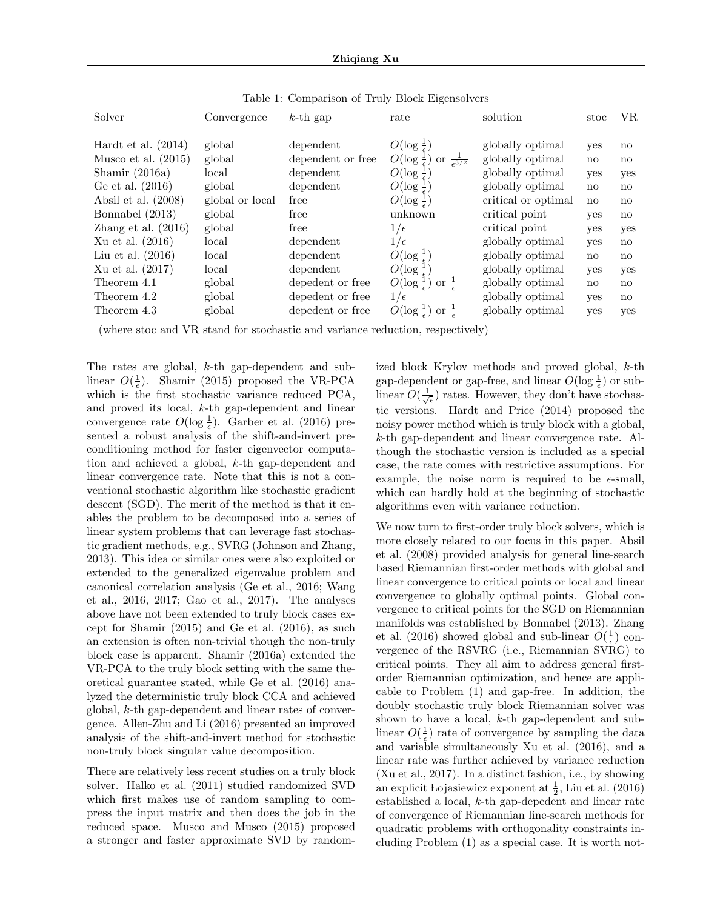| Solver                | Convergence     | $k$ -th gap       | rate                                                          | solution            | stoc                   | VR.                    |
|-----------------------|-----------------|-------------------|---------------------------------------------------------------|---------------------|------------------------|------------------------|
|                       |                 |                   |                                                               |                     |                        |                        |
| Hardt et al. $(2014)$ | global          | dependent         | $O(\log \frac{1}{\epsilon})$                                  | globally optimal    | yes                    | no                     |
| Musco et al. $(2015)$ | global          | dependent or free | $O(\log \frac{1}{\epsilon})$<br>or $\frac{1}{\epsilon^{3/2}}$ | globally optimal    | no                     | no                     |
| Shamir $(2016a)$      | local           | dependent         | $O(\log \frac{1}{\epsilon})$                                  | globally optimal    | yes                    | yes                    |
| Ge et al. (2016)      | global          | dependent         | $O(\log \frac{1}{\epsilon})$                                  | globally optimal    | $\mathbf{n}\mathbf{o}$ | $\mathbf{n}$           |
| Absil et al. $(2008)$ | global or local | free              | $O(\log \frac{1}{\epsilon})$                                  | critical or optimal | $\mathbf{n}$           | $\mathbf{n}$           |
| Bonnabel (2013)       | global          | free              | unknown                                                       | critical point      | yes                    | $\mathbf{n}\mathbf{o}$ |
| Zhang et al. $(2016)$ | global          | free              | $1/\epsilon$                                                  | critical point      | yes                    | yes                    |
| Xu et al. $(2016)$    | local           | dependent         | $1/\epsilon$                                                  | globally optimal    | yes                    | no                     |
| Liu et al. $(2016)$   | $_{\rm local}$  | dependent         | $O(\log \frac{1}{\epsilon})$                                  | globally optimal    | $\mathbf{n}\mathbf{o}$ | $\mathbf{n}$           |
| Xu et al. (2017)      | local           | dependent         | $O(\log \frac{1}{\epsilon})$                                  | globally optimal    | yes                    | yes                    |
| Theorem 4.1           | global          | depedent or free  | or $\frac{1}{2}$<br>$O(\log \frac{1}{\epsilon})$              | globally optimal    | no                     | no                     |
| Theorem 4.2           | global          | depedent or free  | $1/\epsilon$                                                  | globally optimal    | yes                    | no                     |
| Theorem 4.3           | global          | depedent or free  | $O(\log \frac{1}{\epsilon})$<br>or                            | globally optimal    | yes                    | yes                    |

Table 1: Comparison of Truly Block Eigensolvers

(where stoc and VR stand for stochastic and variance reduction, respectively)

The rates are global, k-th gap-dependent and sublinear  $O(\frac{1}{\epsilon})$ . Shamir (2015) proposed the VR-PCA which is the first stochastic variance reduced PCA, and proved its local, k-th gap-dependent and linear convergence rate  $O(\log \frac{1}{\epsilon})$ . Garber et al. (2016) presented a robust analysis of the shift-and-invert preconditioning method for faster eigenvector computation and achieved a global, k-th gap-dependent and linear convergence rate. Note that this is not a conventional stochastic algorithm like stochastic gradient descent (SGD). The merit of the method is that it enables the problem to be decomposed into a series of linear system problems that can leverage fast stochastic gradient methods, e.g., SVRG (Johnson and Zhang, 2013). This idea or similar ones were also exploited or extended to the generalized eigenvalue problem and canonical correlation analysis (Ge et al., 2016; Wang et al., 2016, 2017; Gao et al., 2017). The analyses above have not been extended to truly block cases except for Shamir (2015) and Ge et al. (2016), as such an extension is often non-trivial though the non-truly block case is apparent. Shamir (2016a) extended the VR-PCA to the truly block setting with the same theoretical guarantee stated, while Ge et al. (2016) analyzed the deterministic truly block CCA and achieved global, k-th gap-dependent and linear rates of convergence. Allen-Zhu and Li (2016) presented an improved analysis of the shift-and-invert method for stochastic non-truly block singular value decomposition.

There are relatively less recent studies on a truly block solver. Halko et al. (2011) studied randomized SVD which first makes use of random sampling to compress the input matrix and then does the job in the reduced space. Musco and Musco (2015) proposed a stronger and faster approximate SVD by randomized block Krylov methods and proved global, k-th gap-dependent or gap-free, and linear  $O(\log \frac{1}{\epsilon})$  or sublinear  $O(\frac{1}{\sqrt{\epsilon}})$  rates. However, they don't have stochastic versions. Hardt and Price (2014) proposed the noisy power method which is truly block with a global, k-th gap-dependent and linear convergence rate. Although the stochastic version is included as a special case, the rate comes with restrictive assumptions. For example, the noise norm is required to be  $\epsilon$ -small, which can hardly hold at the beginning of stochastic algorithms even with variance reduction.

We now turn to first-order truly block solvers, which is more closely related to our focus in this paper. Absil et al. (2008) provided analysis for general line-search based Riemannian first-order methods with global and linear convergence to critical points or local and linear convergence to globally optimal points. Global convergence to critical points for the SGD on Riemannian manifolds was established by Bonnabel (2013). Zhang et al. (2016) showed global and sub-linear  $O(\frac{1}{\epsilon})$  convergence of the RSVRG (i.e., Riemannian SVRG) to critical points. They all aim to address general firstorder Riemannian optimization, and hence are applicable to Problem (1) and gap-free. In addition, the doubly stochastic truly block Riemannian solver was shown to have a local, k-th gap-dependent and sublinear  $O(\frac{1}{\epsilon})$  rate of convergence by sampling the data and variable simultaneously Xu et al. (2016), and a linear rate was further achieved by variance reduction (Xu et al., 2017). In a distinct fashion, i.e., by showing an explicit Lojasiewicz exponent at  $\frac{1}{2}$ , Liu et al. (2016) established a local, k-th gap-depedent and linear rate of convergence of Riemannian line-search methods for quadratic problems with orthogonality constraints including Problem (1) as a special case. It is worth not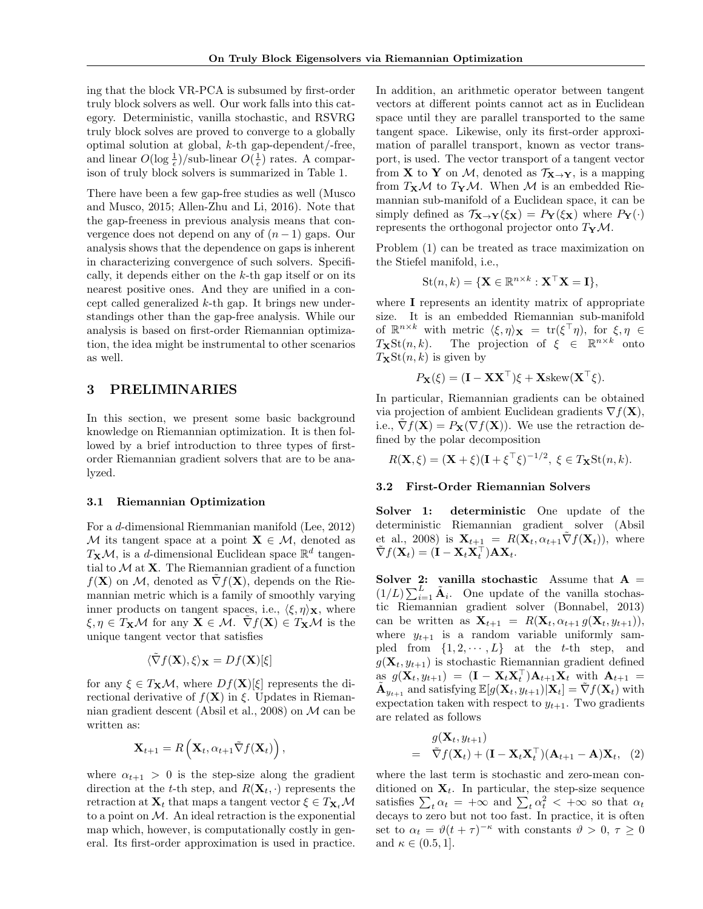ing that the block VR-PCA is subsumed by first-order truly block solvers as well. Our work falls into this category. Deterministic, vanilla stochastic, and RSVRG truly block solves are proved to converge to a globally optimal solution at global, k-th gap-dependent/-free, and linear  $O(\log{\frac{1}{\epsilon}})/\text{sub-linear } O(\frac{1}{\epsilon})$  rates. A comparison of truly block solvers is summarized in Table 1.

There have been a few gap-free studies as well (Musco and Musco, 2015; Allen-Zhu and Li, 2016). Note that the gap-freeness in previous analysis means that convergence does not depend on any of  $(n-1)$  gaps. Our analysis shows that the dependence on gaps is inherent in characterizing convergence of such solvers. Specifically, it depends either on the  $k$ -th gap itself or on its nearest positive ones. And they are unified in a concept called generalized k-th gap. It brings new understandings other than the gap-free analysis. While our analysis is based on first-order Riemannian optimization, the idea might be instrumental to other scenarios as well.

## 3 PRELIMINARIES

In this section, we present some basic background knowledge on Riemannian optimization. It is then followed by a brief introduction to three types of firstorder Riemannian gradient solvers that are to be analyzed.

#### 3.1 Riemannian Optimization

For a d-dimensional Riemmanian manifold (Lee, 2012) M its tangent space at a point  $X \in \mathcal{M}$ , denoted as  $T_{\mathbf{X}}\mathcal{M}$ , is a d-dimensional Euclidean space  $\mathbb{R}^d$  tangential to  $M$  at  $X$ . The Riemannian gradient of a function  $f(\mathbf{X})$  on M, denoted as  $\nabla f(\mathbf{X})$ , depends on the Riemannian metric which is a family of smoothly varying inner products on tangent spaces, i.e.,  $\langle \xi, \eta \rangle_{\mathbf{X}}$ , where  $\xi, \eta \in T_{\mathbf{X}}\mathcal{M}$  for any  $\mathbf{X} \in \mathcal{M}$ .  $\nabla f(\mathbf{X}) \in T_{\mathbf{X}}\mathcal{M}$  is the unique tangent vector that satisfies

$$
\langle \tilde{\nabla} f(\mathbf{X}), \xi \rangle_{\mathbf{X}} = Df(\mathbf{X})[\xi]
$$

for any  $\xi \in T_{\mathbf{X}}\mathcal{M}$ , where  $Df(\mathbf{X})[\xi]$  represents the directional derivative of  $f(\mathbf{X})$  in  $\xi$ . Updates in Riemannian gradient descent (Absil et al., 2008) on M can be written as:

$$
\mathbf{X}_{t+1} = R\left(\mathbf{X}_t, \alpha_{t+1} \tilde{\nabla} f(\mathbf{X}_t)\right),
$$

where  $\alpha_{t+1} > 0$  is the step-size along the gradient direction at the t-th step, and  $R(\mathbf{X}_t, \cdot)$  represents the retraction at  $X_t$  that maps a tangent vector  $\xi \in T_{X_t} \mathcal{M}$ to a point on  $M$ . An ideal retraction is the exponential map which, however, is computationally costly in general. Its first-order approximation is used in practice.

In addition, an arithmetic operator between tangent vectors at different points cannot act as in Euclidean space until they are parallel transported to the same tangent space. Likewise, only its first-order approximation of parallel transport, known as vector transport, is used. The vector transport of a tangent vector from **X** to **Y** on M, denoted as  $\mathcal{T}_{\mathbf{X}\to\mathbf{Y}}$ , is a mapping from  $T_{\mathbf{X}}\mathcal{M}$  to  $T_{\mathbf{Y}}\mathcal{M}$ . When M is an embedded Riemannian sub-manifold of a Euclidean space, it can be simply defined as  $\mathcal{T}_{\mathbf{X}\to\mathbf{Y}}(\xi_{\mathbf{X}}) = P_{\mathbf{Y}}(\xi_{\mathbf{X}})$  where  $P_{\mathbf{Y}}(\cdot)$ represents the orthogonal projector onto  $T_{\mathbf{Y}}\mathcal{M}$ .

Problem (1) can be treated as trace maximization on the Stiefel manifold, i.e.,

$$
St(n,k) = \{ \mathbf{X} \in \mathbb{R}^{n \times k} : \mathbf{X}^\top \mathbf{X} = \mathbf{I} \},
$$

where I represents an identity matrix of appropriate size. It is an embedded Riemannian sub-manifold of  $\mathbb{R}^{n \times k}$  with metric  $\langle \xi, \eta \rangle_{\mathbf{X}} = \text{tr}(\xi^{\top} \eta)$ , for  $\xi, \eta \in$  $T_{\mathbf{X}}\text{St}(n,k)$ . The projection of  $\xi \in \mathbb{R}^{n \times k}$  onto  $T_{\mathbf{X}}\text{St}(n, k)$  is given by

$$
P_{\mathbf{X}}(\xi) = (\mathbf{I} - \mathbf{X} \mathbf{X}^{\top})\xi + \mathbf{X} \operatorname{skew}(\mathbf{X}^{\top} \xi).
$$

In particular, Riemannian gradients can be obtained via projection of ambient Euclidean gradients  $\nabla f(\mathbf{X})$ , i.e.,  $\nabla f(\mathbf{X}) = P_{\mathbf{X}}(\nabla f(\mathbf{X}))$ . We use the retraction defined by the polar decomposition

$$
R(\mathbf{X}, \xi) = (\mathbf{X} + \xi)(\mathbf{I} + \xi^\top \xi)^{-1/2}, \ \xi \in T_{\mathbf{X}} \text{St}(n, k).
$$

#### 3.2 First-Order Riemannian Solvers

Solver 1: deterministic One update of the deterministic Riemannian gradient solver (Absil et al., 2008) is  $\mathbf{X}_{t+1} = R(\mathbf{X}_t, \alpha_{t+1} \tilde{\nabla} f(\mathbf{X}_t)),$  where  $\tilde{\nabla} f(\mathbf{X}_t) = (\mathbf{I} - \mathbf{X}_t \mathbf{X}_t^\top) \mathbf{A} \mathbf{X}_t.$ 

Solver 2: vanilla stochastic Assume that  $A =$  $(1/L)\sum_{i=1}^{L} \tilde{\mathbf{A}}_i$ . One update of the vanilla stochastic Riemannian gradient solver (Bonnabel, 2013) can be written as  $\mathbf{X}_{t+1} = R(\mathbf{X}_t, \alpha_{t+1} g(\mathbf{X}_t, y_{t+1})),$ where  $y_{t+1}$  is a random variable uniformly sampled from  $\{1, 2, \dots, L\}$  at the t-th step, and  $g(\mathbf{X}_t, y_{t+1})$  is stochastic Riemannian gradient defined  $\lim_{t \to \infty} g(\mathbf{X}_t, y_{t+1}) = (\mathbf{I} - \mathbf{X}_t \mathbf{X}_t^\top) \mathbf{A}_{t+1} \mathbf{X}_t \text{ with } \mathbf{A}_{t+1} =$  $\tilde{\mathbf{A}}_{y_{t+1}}$  and satisfying  $\mathbb{E}[g(\mathbf{X}_t, y_{t+1})|\mathbf{X}_t] = \tilde{\nabla}f(\mathbf{X}_t)$  with expectation taken with respect to  $y_{t+1}$ . Two gradients are related as follows

$$
g(\mathbf{X}_t, y_{t+1})
$$
  
=  $\tilde{\nabla}f(\mathbf{X}_t) + (\mathbf{I} - \mathbf{X}_t \mathbf{X}_t^{\top})(\mathbf{A}_{t+1} - \mathbf{A})\mathbf{X}_t, (2)$ 

where the last term is stochastic and zero-mean conditioned on  $X_t$ . In particular, the step-size sequence satisfies  $\sum_t \alpha_t = +\infty$  and  $\sum_t \alpha_t^2 < +\infty$  so that  $\alpha_t$ decays to zero but not too fast. In practice, it is often set to  $\alpha_t = \vartheta(t+\tau)^{-\kappa}$  with constants  $\vartheta > 0, \tau \ge 0$ and  $\kappa \in (0.5, 1]$ .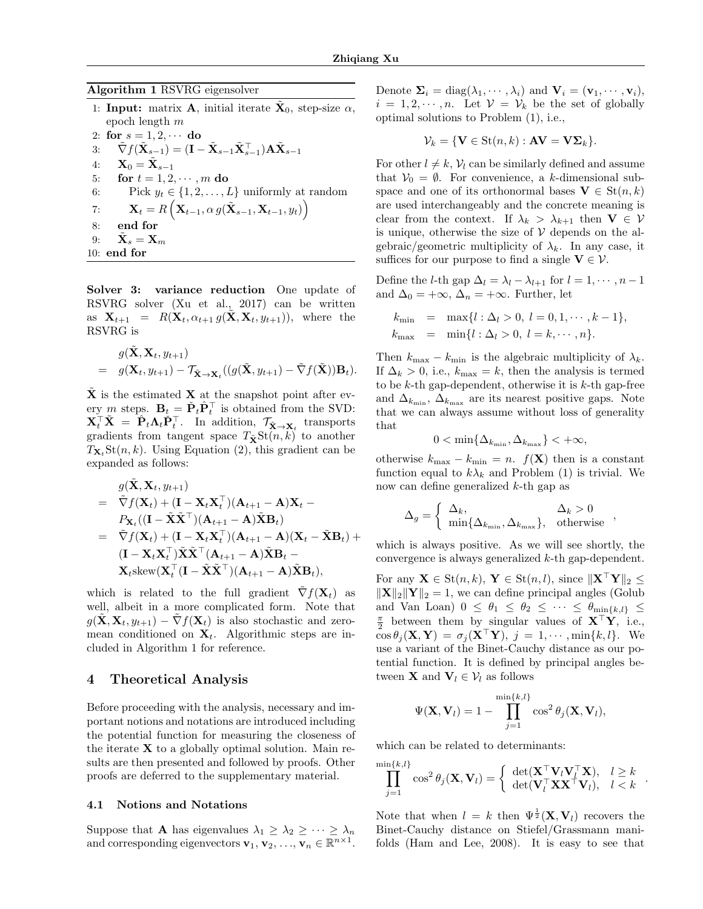#### Algorithm 1 RSVRG eigensolver

- 1: Input: matrix **A**, initial iterate  $\tilde{\mathbf{X}}_0$ , step-size  $\alpha$ , epoch length m
- 2: for  $s = 1, 2, \cdots$  do
- 3:  $\tilde{\nabla} f(\tilde{\mathbf{X}}_{s-1}) = (\mathbf{I} \tilde{\mathbf{X}}_{s-1}\tilde{\mathbf{X}}_{s-1}^{\top})\mathbf{A}\tilde{\mathbf{X}}_{s-1}$
- 4:  $\mathbf{X}_0 = \tilde{\mathbf{X}}_{s-1}$
- 5: for  $t = 1, 2, \dots, m$  do
- 6: Pick  $y_t \in \{1, 2, ..., L\}$  uniformly at random

7: 
$$
\mathbf{X}_t = R\left(\mathbf{X}_{t-1}, \alpha g(\tilde{\mathbf{X}}_{s-1}, \mathbf{X}_{t-1}, y_t)\right)
$$
  
8: end for  
9: 
$$
\tilde{\mathbf{X}}_s = \mathbf{X}_m
$$

10: end for

Solver 3: variance reduction One update of RSVRG solver (Xu et al., 2017) can be written as  $\mathbf{X}_{t+1} = R(\mathbf{X}_t, \alpha_{t+1} g(\mathbf{X}, \mathbf{X}_t, y_{t+1}))$ , where the RSVRG is

$$
g(\tilde{\mathbf{X}}, \mathbf{X}_t, y_{t+1}) = g(\mathbf{X}_t, y_{t+1}) - \mathcal{T}_{\tilde{\mathbf{X}} \to \mathbf{X}_t}((g(\tilde{\mathbf{X}}, y_{t+1}) - \tilde{\nabla}f(\tilde{\mathbf{X}}))\mathbf{B}_t).
$$

 $\tilde{\mathbf{X}}$  is the estimated **X** at the snapshot point after every m steps.  $\mathbf{B}_t = \check{\mathbf{P}}_t \hat{\mathbf{P}}_t^\top$  is obtained from the SVD:  $\mathbf{X}_t^{\top} \tilde{\mathbf{X}} = \hat{\mathbf{P}}_t \mathbf{\Lambda}_t \check{\mathbf{P}}_t^{\top}$ . In addition,  $\mathcal{T}_{\tilde{\mathbf{X}} \to \mathbf{X}_t}$  transports gradients from tangent space  $T_{\tilde{\mathbf{X}}} \text{St}(n, k)$  to another  $T_{\mathbf{X}_t}$ St $(n, k)$ . Using Equation (2), this gradient can be expanded as follows:

$$
g(\tilde{\mathbf{X}}, \mathbf{X}_t, y_{t+1})
$$
\n
$$
= \tilde{\nabla} f(\mathbf{X}_t) + (\mathbf{I} - \mathbf{X}_t \mathbf{X}_t^{\top})(\mathbf{A}_{t+1} - \mathbf{A})\mathbf{X}_t -
$$
\n
$$
P_{\mathbf{X}_t}((\mathbf{I} - \tilde{\mathbf{X}} \tilde{\mathbf{X}}^{\top})(\mathbf{A}_{t+1} - \mathbf{A})\tilde{\mathbf{X}} \mathbf{B}_t)
$$
\n
$$
= \tilde{\nabla} f(\mathbf{X}_t) + (\mathbf{I} - \mathbf{X}_t \mathbf{X}_t^{\top})(\mathbf{A}_{t+1} - \mathbf{A})(\mathbf{X}_t - \tilde{\mathbf{X}} \mathbf{B}_t) +
$$
\n
$$
(\mathbf{I} - \mathbf{X}_t \mathbf{X}_t^{\top})\tilde{\mathbf{X}} \tilde{\mathbf{X}}^{\top} (\mathbf{A}_{t+1} - \mathbf{A})\tilde{\mathbf{X}} \mathbf{B}_t -
$$
\n
$$
\mathbf{X}_t \text{skew}(\mathbf{X}_t^{\top} (\mathbf{I} - \tilde{\mathbf{X}} \tilde{\mathbf{X}}^{\top})(\mathbf{A}_{t+1} - \mathbf{A})\tilde{\mathbf{X}} \mathbf{B}_t),
$$

which is related to the full gradient  $\tilde{\nabla} f(\mathbf{X}_t)$  as well, albeit in a more complicated form. Note that  $q(\mathbf{X}, \mathbf{X}_t, y_{t+1}) - \nabla f(\mathbf{X}_t)$  is also stochastic and zeromean conditioned on  $X_t$ . Algorithmic steps are included in Algorithm 1 for reference.

## 4 Theoretical Analysis

Before proceeding with the analysis, necessary and important notions and notations are introduced including the potential function for measuring the closeness of the iterate  $X$  to a globally optimal solution. Main results are then presented and followed by proofs. Other proofs are deferred to the supplementary material.

#### 4.1 Notions and Notations

Suppose that **A** has eigenvalues  $\lambda_1 \geq \lambda_2 \geq \cdots \geq \lambda_n$ and corresponding eigenvectors  $\mathbf{v}_1, \mathbf{v}_2, \ldots, \mathbf{v}_n \in \mathbb{R}^{n \times 1}$ . Denote  $\Sigma_i = \text{diag}(\lambda_1, \dots, \lambda_i)$  and  $\mathbf{V}_i = (\mathbf{v}_1, \dots, \mathbf{v}_i)$ ,  $i = 1, 2, \dots, n$ . Let  $\mathcal{V} = \mathcal{V}_k$  be the set of globally optimal solutions to Problem (1), i.e.,

$$
\mathcal{V}_k = \{ \mathbf{V} \in \text{St}(n,k) : \mathbf{AV} = \mathbf{V} \mathbf{\Sigma}_k \}.
$$

For other  $l \neq k$ ,  $V_l$  can be similarly defined and assume that  $V_0 = \emptyset$ . For convenience, a k-dimensional subspace and one of its orthonormal bases  $V \in St(n, k)$ are used interchangeably and the concrete meaning is clear from the context. If  $\lambda_k > \lambda_{k+1}$  then  $V \in V$ is unique, otherwise the size of  $V$  depends on the algebraic/geometric multiplicity of  $\lambda_k$ . In any case, it suffices for our purpose to find a single  $V \in V$ .

Define the l-th gap  $\Delta_l = \lambda_l - \lambda_{l+1}$  for  $l = 1, \dots, n-1$ and  $\Delta_0 = +\infty$ ,  $\Delta_n = +\infty$ . Further, let

$$
k_{\min} = \max\{l : \Delta_l > 0, l = 0, 1, \cdots, k - 1\},
$$
  
\n
$$
k_{\max} = \min\{l : \Delta_l > 0, l = k, \cdots, n\}.
$$

Then  $k_{\text{max}} - k_{\text{min}}$  is the algebraic multiplicity of  $\lambda_k$ . If  $\Delta_k > 0$ , i.e.,  $k_{\text{max}} = k$ , then the analysis is termed to be  $k$ -th gap-dependent, otherwise it is  $k$ -th gap-free and  $\Delta_{k_{\text{min}}}$ ,  $\Delta_{k_{\text{max}}}$  are its nearest positive gaps. Note that we can always assume without loss of generality that

$$
0 < \min\{\Delta_{k_{\min}}, \Delta_{k_{\max}}\} < +\infty,
$$

otherwise  $k_{\text{max}} - k_{\text{min}} = n$ .  $f(\mathbf{X})$  then is a constant function equal to  $k\lambda_k$  and Problem (1) is trivial. We now can define generalized k-th gap as

$$
\Delta_g = \begin{cases} \Delta_k, & \Delta_k > 0\\ \min\{\Delta_{k_{\min}}, \Delta_{k_{\max}}\}, & \text{otherwise} \end{cases}
$$

which is always positive. As we will see shortly, the convergence is always generalized k-th gap-dependent.

For any  $\mathbf{X} \in \text{St}(n, k)$ ,  $\mathbf{Y} \in \text{St}(n, l)$ , since  $\|\mathbf{X}^\top \mathbf{Y}\|_2 \leq$  $\|\mathbf{X}\|_2 \|\mathbf{Y}\|_2 = 1$ , we can define principal angles (Golub and Van Loan)  $0 \leq \theta_1 \leq \theta_2 \leq \cdots \leq \theta_{\min\{k,l\}} \leq$  $\frac{\pi}{2}$  between them by singular values of  $X^{\top}Y$ , i.e.,  $\cos \theta_i(\mathbf{X}, \mathbf{Y}) = \sigma_i(\mathbf{X}^\top \mathbf{Y}), \; j = 1, \cdots, \min\{k, l\}.$  We use a variant of the Binet-Cauchy distance as our potential function. It is defined by principal angles between **X** and  $V_l \in V_l$  as follows

$$
\Psi(\mathbf{X}, \mathbf{V}_l) = 1 - \prod_{j=1}^{\min\{k, l\}} \cos^2 \theta_j(\mathbf{X}, \mathbf{V}_l),
$$

which can be related to determinants:

$$
\prod_{j=1}^{\min\{k,l\}} \cos^2 \theta_j(\mathbf{X}, \mathbf{V}_l) = \begin{cases} \det(\mathbf{X}^\top \mathbf{V}_l \mathbf{V}_l^\top \mathbf{X}), & l \geq k \\ \det(\mathbf{V}_l^\top \mathbf{X} \mathbf{X}^\top \mathbf{V}_l), & l < k \end{cases}.
$$

Note that when  $l = k$  then  $\Psi^{\frac{1}{2}}(\mathbf{X}, \mathbf{V}_l)$  recovers the Binet-Cauchy distance on Stiefel/Grassmann manifolds (Ham and Lee, 2008). It is easy to see that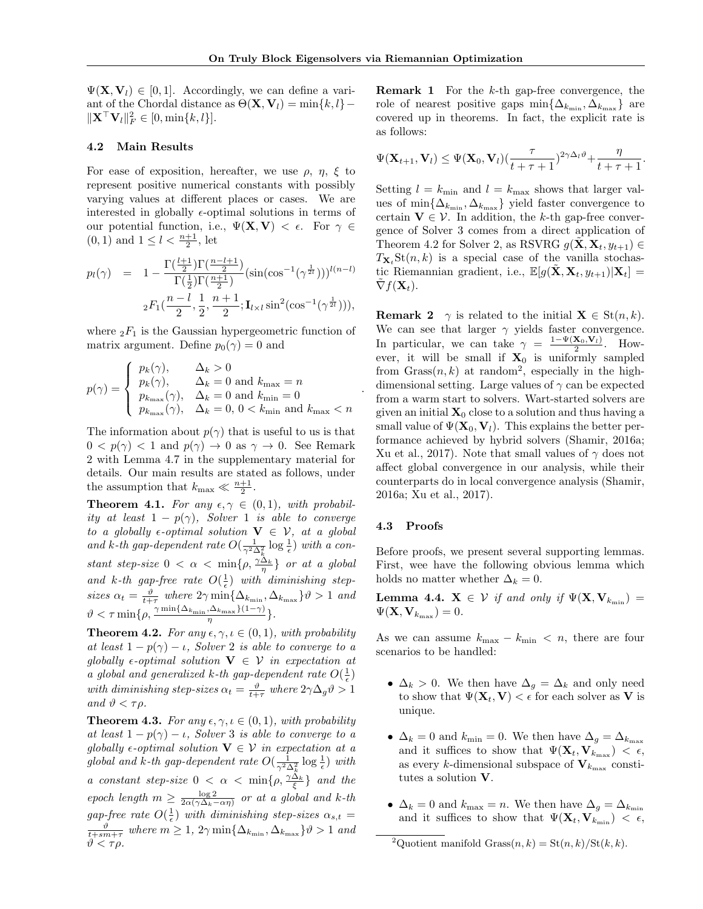.

 $\Psi(\mathbf{X}, \mathbf{V}_l) \in [0, 1]$ . Accordingly, we can define a variant of the Chordal distance as  $\Theta(\mathbf{X}, \mathbf{V}_l) = \min\{k, l\} \|\mathbf{X}^{\top} \mathbf{V}_{l}\|_{F}^{2} \in [0, \min\{k, l\}]$ .

#### 4.2 Main Results

For ease of exposition, hereafter, we use  $\rho$ ,  $\eta$ ,  $\xi$  to represent positive numerical constants with possibly varying values at different places or cases. We are interested in globally  $\epsilon$ -optimal solutions in terms of our potential function, i.e.,  $\Psi(\mathbf{X}, \mathbf{V}) < \epsilon$ . For  $\gamma \in$  $(0, 1)$  and  $1 \leq l < \frac{n+1}{2}$ , let

$$
p_l(\gamma) = 1 - \frac{\Gamma(\frac{l+1}{2})\Gamma(\frac{n-l+1}{2})}{\Gamma(\frac{1}{2})\Gamma(\frac{n+1}{2})} (\sin(\cos^{-1}(\gamma^{\frac{1}{2}l})))^{l(n-l)}
$$
  

$$
{}_2F_1(\frac{n-l}{2}, \frac{1}{2}, \frac{n+1}{2}; \mathbf{I}_{l \times l} \sin^2(\cos^{-1}(\gamma^{\frac{1}{2}l}))),
$$

where  ${}_2F_1$  is the Gaussian hypergeometric function of matrix argument. Define  $p_0(\gamma) = 0$  and

$$
p(\gamma) = \begin{cases} p_k(\gamma), & \Delta_k > 0\\ p_k(\gamma), & \Delta_k = 0 \text{ and } k_{\text{max}} = n\\ p_{k_{\text{max}}}(\gamma), & \Delta_k = 0 \text{ and } k_{\text{min}} = 0\\ p_{k_{\text{max}}}(\gamma), & \Delta_k = 0, 0 < k_{\text{min}} \text{ and } k_{\text{max}} < n \end{cases}
$$

The information about  $p(\gamma)$  that is useful to us is that  $0 < p(\gamma) < 1$  and  $p(\gamma) \to 0$  as  $\gamma \to 0$ . See Remark 2 with Lemma 4.7 in the supplementary material for details. Our main results are stated as follows, under the assumption that  $k_{\text{max}} \ll \frac{n+1}{2}$ .

**Theorem 4.1.** For any  $\epsilon, \gamma \in (0, 1)$ , with probability at least  $1 - p(\gamma)$ , Solver 1 is able to converge to a globally  $\epsilon$ -optimal solution  $\mathbf{V} \in \mathcal{V}$ , at a global and k-th gap-dependent rate  $O(\frac{1}{\gamma^2 \Delta_k^2} \log \frac{1}{\epsilon})$  with a constant step-size  $0 < \alpha < \min\{\rho, \frac{\gamma \Delta_k}{\eta}\}\$  or at a global and k-th gap-free rate  $O(\frac{1}{\epsilon})$  with diminishing stepsizes  $\alpha_t = \frac{\vartheta}{t+\tau}$  where  $2\gamma \min\{\Delta_{k_{\min}}, \Delta_{k_{\max}}\}\vartheta > 1$  and  $\vartheta < \tau \min\{\rho, \frac{\gamma \min\{\Delta_{k_{\min}}, \Delta_{k_{\max}}\}(1-\gamma)}{\eta}\}.$ 

**Theorem 4.2.** For any  $\epsilon, \gamma, \iota \in (0,1)$ , with probability at least  $1 - p(\gamma) - \iota$ , Solver 2 is able to converge to a globally  $\epsilon$ -optimal solution  $\mathbf{V} \in \mathcal{V}$  in expectation at a global and generalized k-th gap-dependent rate  $O(\frac{1}{\epsilon})$ with diminishing step-sizes  $\alpha_t = \frac{\vartheta}{t+\tau}$  where  $2\gamma \Delta_g \vartheta > 1$ and  $\vartheta < \tau \rho$ .

**Theorem 4.3.** For any  $\epsilon, \gamma, \iota \in (0,1)$ , with probability at least  $1 - p(\gamma) - \iota$ , Solver 3 is able to converge to a globally  $\epsilon$ -optimal solution  $\mathbf{V} \in \mathcal{V}$  in expectation at a global and k-th gap-dependent rate  $O(\frac{1}{\gamma^2 \Delta_k^2} \log \frac{1}{\epsilon})$  with a constant step-size  $0 < \alpha < \min\{\rho, \frac{\gamma \Delta_k}{\xi}\}\$  and the epoch length  $m \ge \frac{\log 2}{2\alpha(\gamma \Delta_k - \alpha \eta)}$  or at a global and k-th gap-free rate  $O(\frac{1}{\epsilon})$  with diminishing step-sizes  $\alpha_{s,t} =$  $\frac{\vartheta}{t+sm+\tau}$  where  $m \geq 1$ ,  $2\gamma \min\{\Delta_{k_{\min}}, \Delta_{k_{\max}}\}\vartheta > 1$  and  $\vartheta < \tau \rho$ .

Remark 1 For the k-th gap-free convergence, the role of nearest positive gaps  $\min\{\Delta_{k_{\min}}, \Delta_{k_{\max}}\}$  are covered up in theorems. In fact, the explicit rate is as follows:

$$
\Psi(\mathbf{X}_{t+1},\mathbf{V}_l)\leq \Psi(\mathbf{X}_0,\mathbf{V}_l)(\frac{\tau}{t+\tau+1})^{2\gamma\Delta_l\vartheta}+\frac{\eta}{t+\tau+1}.
$$

Setting  $l = k_{\text{min}}$  and  $l = k_{\text{max}}$  shows that larger values of  $\min\{\Delta_{k_{\min}}, \Delta_{k_{\max}}\}$  yield faster convergence to certain  $V \in \mathcal{V}$ . In addition, the k-th gap-free convergence of Solver 3 comes from a direct application of Theorem 4.2 for Solver 2, as RSVRG  $g(\mathbf{X}, \mathbf{X}_t, y_{t+1}) \in$  $T_{\mathbf{X}_t}$ St $(n, k)$  is a special case of the vanilla stochastic Riemannian gradient, i.e.,  $\mathbb{E}[g(\tilde{\mathbf{X}}, \mathbf{X}_t, y_{t+1})|\mathbf{X}_t] =$  $\nabla f(\mathbf{X}_t)$ .

**Remark 2**  $\gamma$  is related to the initial  $\mathbf{X} \in \text{St}(n, k)$ . We can see that larger  $\gamma$  yields faster convergence. In particular, we can take  $\gamma = \frac{1-\Psi(\mathbf{X}_0,\mathbf{V}_l)}{2}$ . However, it will be small if  $X_0$  is uniformly sampled from  $Grass(n, k)$  at random<sup>2</sup>, especially in the highdimensional setting. Large values of  $\gamma$  can be expected from a warm start to solvers. Wart-started solvers are given an initial  $\mathbf{X}_0$  close to a solution and thus having a small value of  $\Psi(\mathbf{X}_0, \mathbf{V}_l)$ . This explains the better performance achieved by hybrid solvers (Shamir, 2016a; Xu et al., 2017). Note that small values of  $\gamma$  does not affect global convergence in our analysis, while their counterparts do in local convergence analysis (Shamir, 2016a; Xu et al., 2017).

#### 4.3 Proofs

Before proofs, we present several supporting lemmas. First, wee have the following obvious lemma which holds no matter whether  $\Delta_k = 0$ .

**Lemma 4.4.**  $\mathbf{X} \in \mathcal{V}$  if and only if  $\Psi(\mathbf{X}, \mathbf{V}_{k_{\min}}) =$  $\Psi(\mathbf{X},\mathbf{V}_{k_{\max}})=0.$ 

As we can assume  $k_{\text{max}} - k_{\text{min}} < n$ , there are four scenarios to be handled:

- $\Delta_k > 0$ . We then have  $\Delta_g = \Delta_k$  and only need to show that  $\Psi(\mathbf{X}_t, \mathbf{V}) < \epsilon$  for each solver as **V** is unique.
- $\Delta_k = 0$  and  $k_{\text{min}} = 0$ . We then have  $\Delta_q = \Delta_{k_{\text{max}}}$ and it suffices to show that  $\Psi(\mathbf{X}_t, \mathbf{V}_{k_{\text{max}}}) < \epsilon$ , as every *k*-dimensional subspace of  $V_{k_{\text{max}}}$  constitutes a solution V.
- $\Delta_k = 0$  and  $k_{\text{max}} = n$ . We then have  $\Delta_g = \Delta_{k_{\text{min}}}$ and it suffices to show that  $\Psi(\mathbf{X}_t, \mathbf{V}_{k_{\text{min}}}) < \epsilon$ ,

<sup>&</sup>lt;sup>2</sup>Quotient manifold Grass $(n, k) = \text{St}(n, k)/\text{St}(k, k)$ .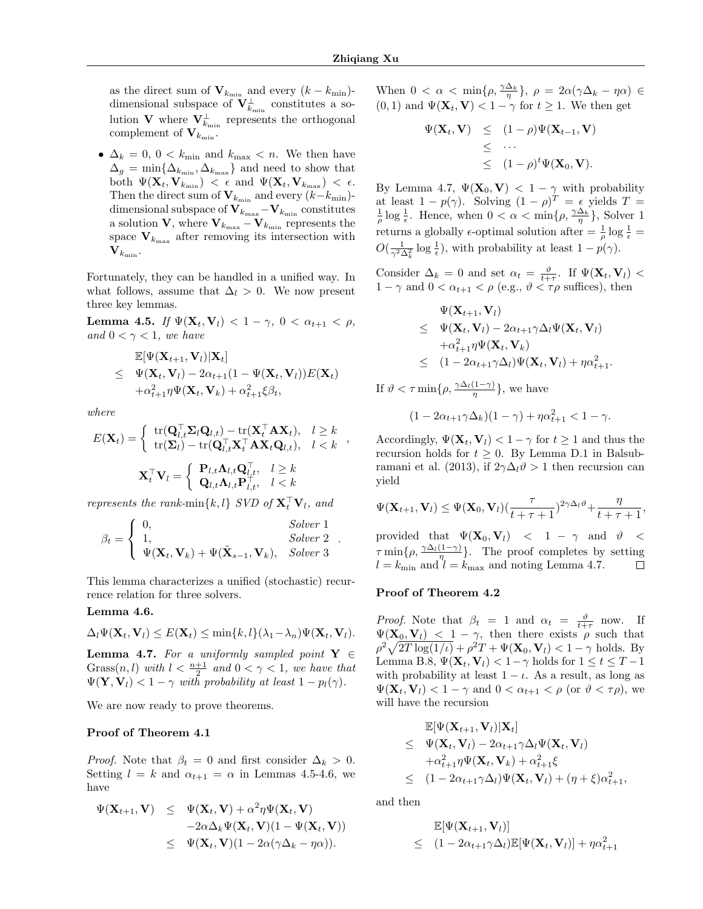as the direct sum of  $V_{k_{\text{min}}}$  and every  $(k - k_{\text{min}})$ dimensional subspace of  ${\rm\bf V}_{k_{\rm min}}^\perp$  constitutes a solution V where  $V_{k_{\min}}^{\perp}$  represents the orthogonal complement of  $V_{k_{\text{min}}}$ .

•  $\Delta_k = 0, 0 < k_{\text{min}}$  and  $k_{\text{max}} < n$ . We then have  $\Delta_g = \min\{\Delta_{k_{\text{min}}}, \Delta_{k_{\text{max}}}\}\$ and need to show that both  $\Psi(\mathbf{X}_t,\mathbf{V}_{k_{\text{min}}}) \leq \epsilon \text{ and } \Psi(\mathbf{X}_t,\mathbf{V}_{k_{\text{max}}}) \leq \epsilon.$ Then the direct sum of  $V_{k_{\text{min}}}$  and every  $(k-k_{\text{min}})$ dimensional subspace of  $\mathbf{V}_{k_{\text{max}}} - \mathbf{V}_{k_{\text{min}}}$  constitutes a solution V, where  $V_{k_{\text{max}}} - V_{k_{\text{min}}}$  represents the space  $V_{k_{\text{max}}}$  after removing its intersection with  $\mathbf{V}_{k_{\text{min}}}.$ 

Fortunately, they can be handled in a unified way. In what follows, assume that  $\Delta_l > 0$ . We now present three key lemmas.

Lemma 4.5. If  $\Psi(\mathbf{X}_t, \mathbf{V}_l) < 1 - \gamma$ ,  $0 < \alpha_{t+1} < \rho$ , and  $0 < \gamma < 1$ , we have

$$
\mathbb{E}[\Psi(\mathbf{X}_{t+1}, \mathbf{V}_l)|\mathbf{X}_t] \n\leq \Psi(\mathbf{X}_t, \mathbf{V}_l) - 2\alpha_{t+1}(1 - \Psi(\mathbf{X}_t, \mathbf{V}_l))E(\mathbf{X}_t) \n+ \alpha_{t+1}^2 \eta \Psi(\mathbf{X}_t, \mathbf{V}_k) + \alpha_{t+1}^2 \xi \beta_t,
$$

where

$$
E(\mathbf{X}_{t}) = \begin{cases} \operatorname{tr}(\mathbf{Q}_{l,t}^{\top} \mathbf{\Sigma}_{l} \mathbf{Q}_{l,t}) - \operatorname{tr}(\mathbf{X}_{l}^{\top} \mathbf{A} \mathbf{X}_{t}), & l \geq k \\ \operatorname{tr}(\mathbf{\Sigma}_{l}) - \operatorname{tr}(\mathbf{Q}_{l,t}^{\top} \mathbf{X}_{t}^{\top} \mathbf{A} \mathbf{X}_{t} \mathbf{Q}_{l,t}), & l < k \end{cases},
$$

$$
\mathbf{X}_{t}^{\top} \mathbf{V}_{l} = \begin{cases} \mathbf{P}_{l,t} \mathbf{\Lambda}_{l,t} \mathbf{Q}_{l,t}^{\top}, & l \geq k \\ \mathbf{Q}_{l,t} \mathbf{\Lambda}_{l,t} \mathbf{P}_{l,t}^{\top}, & l < k \end{cases}
$$

represents the rank-min ${k, l}$  SVD of  $\mathbf{X}_{t}^{\top} \mathbf{V}_{l}$ , and

$$
\beta_t = \begin{cases}\n0, & Solve\ 1 \\
1, & Solve\ 2 \\
\Psi(\mathbf{X}_t, \mathbf{V}_k) + \Psi(\tilde{\mathbf{X}}_{s-1}, \mathbf{V}_k), & Solve\ 3\n\end{cases}.
$$

This lemma characterizes a unified (stochastic) recurrence relation for three solvers.

#### Lemma 4.6.

$$
\Delta_l \Psi(\mathbf{X}_t, \mathbf{V}_l) \leq E(\mathbf{X}_t) \leq \min\{k, l\} (\lambda_1 - \lambda_n) \Psi(\mathbf{X}_t, \mathbf{V}_l).
$$

**Lemma 4.7.** For a uniformly sampled point  $Y \in$  $Gross(n, l)$  with  $l < \frac{n+1}{2}$  and  $0 < \gamma < 1$ , we have that  $\Psi(\mathbf{Y}, \mathbf{V}_l) < 1 - \gamma$  with probability at least  $1 - p_l(\gamma)$ .

We are now ready to prove theorems.

#### Proof of Theorem 4.1

*Proof.* Note that  $\beta_t = 0$  and first consider  $\Delta_k > 0$ . Setting  $l = k$  and  $\alpha_{t+1} = \alpha$  in Lemmas 4.5-4.6, we have

$$
\Psi(\mathbf{X}_{t+1}, \mathbf{V}) \leq \Psi(\mathbf{X}_t, \mathbf{V}) + \alpha^2 \eta \Psi(\mathbf{X}_t, \mathbf{V}) \n-2\alpha \Delta_k \Psi(\mathbf{X}_t, \mathbf{V})(1 - \Psi(\mathbf{X}_t, \mathbf{V})) \n\leq \Psi(\mathbf{X}_t, \mathbf{V})(1 - 2\alpha(\gamma \Delta_k - \eta \alpha)).
$$

When  $0 < \alpha < \min\{\rho, \frac{\gamma \Delta_k}{\eta}\}, \ \rho = 2\alpha(\gamma \Delta_k - \eta \alpha) \in$  $(0, 1)$  and  $\Psi(\mathbf{X}_t, \mathbf{V}) < 1 - \gamma$  for  $t \geq 1$ . We then get

$$
\Psi(\mathbf{X}_t, \mathbf{V}) \leq (1 - \rho) \Psi(\mathbf{X}_{t-1}, \mathbf{V})
$$
  
\n
$$
\leq \cdots
$$
  
\n
$$
\leq (1 - \rho)^t \Psi(\mathbf{X}_0, \mathbf{V}).
$$

By Lemma 4.7,  $\Psi(\mathbf{X}_0, \mathbf{V}) < 1 - \gamma$  with probability at least  $1 - p(\gamma)$ . Solving  $(1 - \rho)^T = \epsilon$  yields  $T =$  $\frac{1}{\rho} \log \frac{1}{\epsilon}$ . Hence, when  $0 < \alpha < \min\{\rho, \frac{\gamma \Delta_k}{\eta}\}\$ , Solver 1 returns a globally  $\epsilon$ -optimal solution after  $=$   $\frac{1}{\rho}$  log  $\frac{1}{\epsilon}$  =  $O(\frac{1}{\gamma^2 \Delta_k^2} \log \frac{1}{\epsilon})$ , with probability at least  $1 - p(\gamma)$ .

Consider  $\Delta_k = 0$  and set  $\alpha_t = \frac{\vartheta}{t+\tau}$ . If  $\Psi(\mathbf{X}_t, \mathbf{V}_l)$  <  $1 - \gamma$  and  $0 < \alpha_{t+1} < \rho$  (e.g.,  $\vartheta < \tau \rho$  suffices), then

$$
\Psi(\mathbf{X}_{t+1}, \mathbf{V}_l) \n\leq \Psi(\mathbf{X}_t, \mathbf{V}_l) - 2\alpha_{t+1} \gamma \Delta_l \Psi(\mathbf{X}_t, \mathbf{V}_l) \n+ \alpha_{t+1}^2 \eta \Psi(\mathbf{X}_t, \mathbf{V}_k) \n\leq (1 - 2\alpha_{t+1} \gamma \Delta_l) \Psi(\mathbf{X}_t, \mathbf{V}_l) + \eta \alpha_{t+1}^2.
$$

If  $\vartheta < \tau \min\{\rho, \frac{\gamma \Delta_l(1-\gamma)}{\eta}\}\$ , we have

$$
(1 - 2\alpha_{t+1}\gamma\Delta_k)(1 - \gamma) + \eta\alpha_{t+1}^2 < 1 - \gamma.
$$

Accordingly,  $\Psi(\mathbf{X}_t, \mathbf{V}_l) < 1 - \gamma$  for  $t \geq 1$  and thus the recursion holds for  $t \geq 0$ . By Lemma D.1 in Balsubramani et al. (2013), if  $2\gamma\Delta_l\vartheta > 1$  then recursion can yield

$$
\Psi(\mathbf{X}_{t+1},\mathbf{V}_l)\leq \Psi(\mathbf{X}_0,\mathbf{V}_l)(\frac{\tau}{t+\tau+1})^{2\gamma\Delta_l\vartheta}+\frac{\eta}{t+\tau+1},
$$

provided that  $\Psi(\mathbf{X}_0, \mathbf{V}_l)$  < 1 –  $\gamma$  and  $\vartheta$  <  $\tau \min\{\rho, \frac{\gamma \Delta_l(1-\gamma)}{\eta}\}.$  The proof completes by setting  $l = k_{\text{min}}$  and  $l = k_{\text{max}}$  and noting Lemma 4.7. П

#### Proof of Theorem 4.2

*Proof.* Note that  $\beta_t = 1$  and  $\alpha_t = \frac{\vartheta}{t+\tau}$  now. If  $\Psi(\mathbf{X}_0, \mathbf{V}_l)$  < 1 –  $\gamma$ , then there exists  $\rho$  such that  $\rho^2 \sqrt{2T \log(1/\iota)} + \rho^2 T + \Psi(\mathbf{X}_0, \mathbf{V}_l) < 1 - \gamma$  holds. By Lemma B.8,  $\Psi(\mathbf{X}_t, \mathbf{V}_l) < 1 - \gamma$  holds for  $1 \le t \le T - 1$ with probability at least  $1 - \iota$ . As a result, as long as  $\Psi(\mathbf{X}_t, \mathbf{V}_l) < 1 - \gamma$  and  $0 < \alpha_{t+1} < \rho$  (or  $\vartheta < \tau \rho$ ), we will have the recursion

$$
\mathbb{E}[\Psi(\mathbf{X}_{t+1}, \mathbf{V}_l)|\mathbf{X}_t] \n\leq \Psi(\mathbf{X}_t, \mathbf{V}_l) - 2\alpha_{t+1}\gamma \Delta_l \Psi(\mathbf{X}_t, \mathbf{V}_l) \n+ \alpha_{t+1}^2 \eta \Psi(\mathbf{X}_t, \mathbf{V}_k) + \alpha_{t+1}^2 \xi \n\leq (1 - 2\alpha_{t+1}\gamma \Delta_l) \Psi(\mathbf{X}_t, \mathbf{V}_l) + (\eta + \xi) \alpha_{t+1}^2,
$$

and then

$$
\mathbb{E}[\Psi(\mathbf{X}_{t+1}, \mathbf{V}_l)]
$$
  
 
$$
\leq (1 - 2\alpha_{t+1}\gamma\Delta_l)\mathbb{E}[\Psi(\mathbf{X}_t, \mathbf{V}_l)] + \eta\alpha_{t+1}^2
$$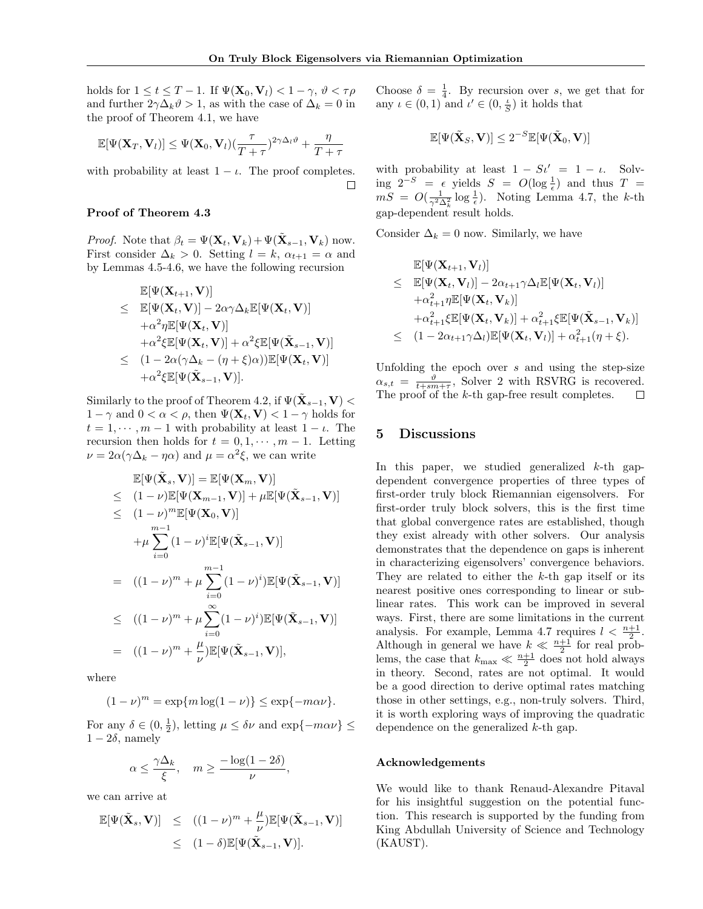holds for  $1 \le t \le T - 1$ . If  $\Psi(\mathbf{X}_0, \mathbf{V}_l) < 1 - \gamma$ ,  $\vartheta < \tau \rho$ and further  $2\gamma\Delta_k\vartheta > 1$ , as with the case of  $\Delta_k = 0$  in the proof of Theorem 4.1, we have

$$
\mathbb{E}[\Psi(\mathbf{X}_T,\mathbf{V}_l)] \leq \Psi(\mathbf{X}_0,\mathbf{V}_l) \left(\frac{\tau}{T+\tau}\right)^{2\gamma \Delta_l \vartheta} + \frac{\eta}{T+\tau}
$$

with probability at least  $1 - \iota$ . The proof completes.  $\Box$ 

#### Proof of Theorem 4.3

*Proof.* Note that  $\beta_t = \Psi(\mathbf{X}_t, \mathbf{V}_k) + \Psi(\tilde{\mathbf{X}}_{s-1}, \mathbf{V}_k)$  now. First consider  $\Delta_k > 0$ . Setting  $l = k$ ,  $\alpha_{t+1} = \alpha$  and by Lemmas 4.5-4.6, we have the following recursion

$$
\mathbb{E}[\Psi(\mathbf{X}_{t+1}, \mathbf{V})] \n\leq \mathbb{E}[\Psi(\mathbf{X}_t, \mathbf{V})] - 2\alpha \gamma \Delta_k \mathbb{E}[\Psi(\mathbf{X}_t, \mathbf{V})] \n+ \alpha^2 \eta \mathbb{E}[\Psi(\mathbf{X}_t, \mathbf{V})] \n+ \alpha^2 \xi \mathbb{E}[\Psi(\mathbf{X}_t, \mathbf{V})] + \alpha^2 \xi \mathbb{E}[\Psi(\tilde{\mathbf{X}}_{s-1}, \mathbf{V})] \n\leq (1 - 2\alpha (\gamma \Delta_k - (\eta + \xi)\alpha)) \mathbb{E}[\Psi(\mathbf{X}_t, \mathbf{V})] \n+ \alpha^2 \xi \mathbb{E}[\Psi(\tilde{\mathbf{X}}_{s-1}, \mathbf{V})].
$$

Similarly to the proof of Theorem 4.2, if  $\Psi(\tilde{\mathbf{X}}_{s-1}, \mathbf{V}) <$  $1 - \gamma$  and  $0 < \alpha < \rho$ , then  $\Psi(\mathbf{X}_t, \mathbf{V}) < 1 - \gamma$  holds for  $t = 1, \dots, m - 1$  with probability at least  $1 - \iota$ . The recursion then holds for  $t = 0, 1, \dots, m - 1$ . Letting  $\nu = 2\alpha(\gamma\Delta_k - \eta\alpha)$  and  $\mu = \alpha^2\xi$ , we can write

$$
\mathbb{E}[\Psi(\tilde{\mathbf{X}}_s, \mathbf{V})] = \mathbb{E}[\Psi(\mathbf{X}_m, \mathbf{V})]
$$
\n
$$
\leq (1 - \nu)\mathbb{E}[\Psi(\mathbf{X}_{m-1}, \mathbf{V})] + \mu \mathbb{E}[\Psi(\tilde{\mathbf{X}}_{s-1}, \mathbf{V})]
$$
\n
$$
\leq (1 - \nu)^m \mathbb{E}[\Psi(\mathbf{X}_0, \mathbf{V})]
$$
\n
$$
+ \mu \sum_{i=0}^{m-1} (1 - \nu)^i \mathbb{E}[\Psi(\tilde{\mathbf{X}}_{s-1}, \mathbf{V})]
$$
\n
$$
= ((1 - \nu)^m + \mu \sum_{i=0}^{m-1} (1 - \nu)^i) \mathbb{E}[\Psi(\tilde{\mathbf{X}}_{s-1}, \mathbf{V})]
$$
\n
$$
\leq ((1 - \nu)^m + \mu \sum_{i=0}^{\infty} (1 - \nu)^i) \mathbb{E}[\Psi(\tilde{\mathbf{X}}_{s-1}, \mathbf{V})]
$$
\n
$$
= ((1 - \nu)^m + \frac{\mu}{\nu}) \mathbb{E}[\Psi(\tilde{\mathbf{X}}_{s-1}, \mathbf{V})],
$$

where

$$
(1-\nu)^m = \exp\{m\log(1-\nu)\} \le \exp\{-m\alpha\nu\}.
$$

For any  $\delta \in (0, \frac{1}{2})$ , letting  $\mu \leq \delta \nu$  and  $\exp\{-m\alpha \nu\} \leq$  $1 - 2\delta$ , namely

$$
\alpha \le \frac{\gamma \Delta_k}{\xi}, \quad m \ge \frac{-\log(1 - 2\delta)}{\nu},
$$

we can arrive at

$$
\mathbb{E}[\Psi(\tilde{\mathbf{X}}_s, \mathbf{V})] \leq ((1 - \nu)^m + \frac{\mu}{\nu}) \mathbb{E}[\Psi(\tilde{\mathbf{X}}_{s-1}, \mathbf{V})] \leq (1 - \delta) \mathbb{E}[\Psi(\tilde{\mathbf{X}}_{s-1}, \mathbf{V})].
$$

Choose  $\delta = \frac{1}{4}$ . By recursion over s, we get that for any  $\iota \in (0,1)$  and  $\iota' \in (0, \frac{\iota}{S})$  it holds that

$$
\mathbb{E}[\Psi(\tilde{\mathbf{X}}_S, \mathbf{V})] \leq 2^{-S}\mathbb{E}[\Psi(\tilde{\mathbf{X}}_0, \mathbf{V})]
$$

with probability at least  $1 - St' = 1 - \iota$ . Solving  $2^{-S} = \epsilon$  yields  $S = O(\log \frac{1}{\epsilon})$  and thus  $T =$  $mS = O(\frac{1}{\gamma^2 \Delta_k^2} \log \frac{1}{\epsilon})$ . Noting Lemma 4.7, the k-th gap-dependent result holds.

Consider  $\Delta_k = 0$  now. Similarly, we have

$$
\mathbb{E}[\Psi(\mathbf{X}_{t+1}, \mathbf{V}_{l})] \n\leq \mathbb{E}[\Psi(\mathbf{X}_{t}, \mathbf{V}_{l})] - 2\alpha_{t+1}\gamma\Delta_{l}\mathbb{E}[\Psi(\mathbf{X}_{t}, \mathbf{V}_{l})] \n+ \alpha_{t+1}^{2}\eta \mathbb{E}[\Psi(\mathbf{X}_{t}, \mathbf{V}_{k})] \n+ \alpha_{t+1}^{2}\xi \mathbb{E}[\Psi(\mathbf{X}_{t}, \mathbf{V}_{k})] + \alpha_{t+1}^{2}\xi \mathbb{E}[\Psi(\tilde{\mathbf{X}}_{s-1}, \mathbf{V}_{k})] \n\leq (1 - 2\alpha_{t+1}\gamma\Delta_{l})\mathbb{E}[\Psi(\mathbf{X}_{t}, \mathbf{V}_{l})] + \alpha_{t+1}^{2}(\eta + \xi).
$$

Unfolding the epoch over  $s$  and using the step-size  $\alpha_{s,t} = \frac{\vartheta}{t+sm+\tau}$ , Solver 2 with RSVRG is recovered. The proof of the  $k$ -th gap-free result completes.  $\Box$ 

## 5 Discussions

In this paper, we studied generalized  $k$ -th gapdependent convergence properties of three types of first-order truly block Riemannian eigensolvers. For first-order truly block solvers, this is the first time that global convergence rates are established, though they exist already with other solvers. Our analysis demonstrates that the dependence on gaps is inherent in characterizing eigensolvers' convergence behaviors. They are related to either the  $k$ -th gap itself or its nearest positive ones corresponding to linear or sublinear rates. This work can be improved in several ways. First, there are some limitations in the current analysis. For example, Lemma 4.7 requires  $l < \frac{n+1}{2}$ . Although in general we have  $k \ll \frac{n+1}{2}$  for real problems, the case that  $k_{\text{max}} \ll \frac{n+1}{2}$  does not hold always in theory. Second, rates are not optimal. It would be a good direction to derive optimal rates matching those in other settings, e.g., non-truly solvers. Third, it is worth exploring ways of improving the quadratic dependence on the generalized k-th gap.

#### Acknowledgements

We would like to thank Renaud-Alexandre Pitaval for his insightful suggestion on the potential function. This research is supported by the funding from King Abdullah University of Science and Technology (KAUST).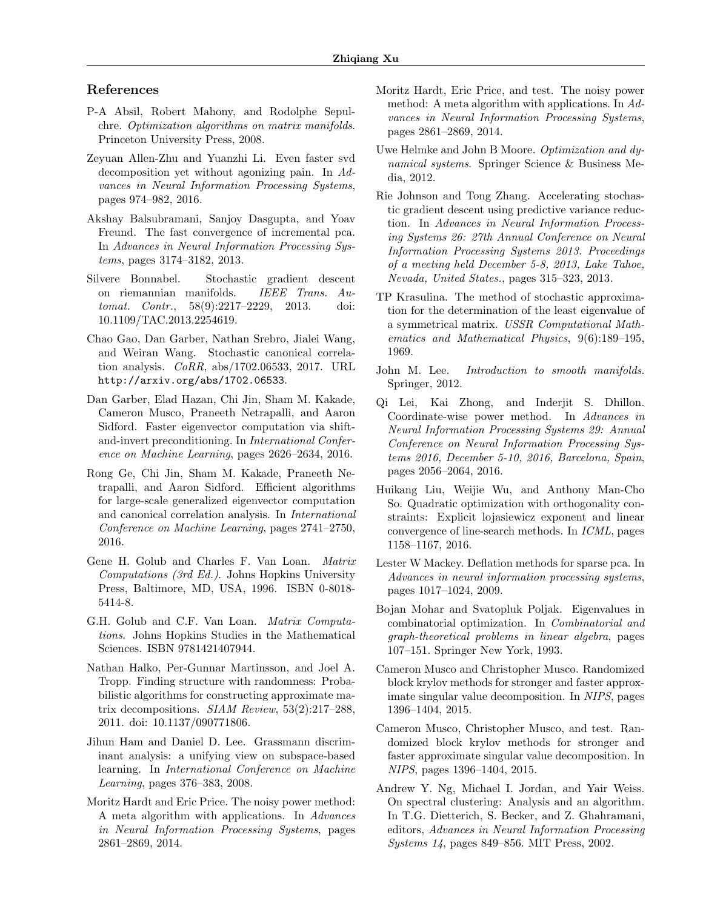# References

- P-A Absil, Robert Mahony, and Rodolphe Sepulchre. Optimization algorithms on matrix manifolds. Princeton University Press, 2008.
- Zeyuan Allen-Zhu and Yuanzhi Li. Even faster svd decomposition yet without agonizing pain. In Advances in Neural Information Processing Systems, pages 974–982, 2016.
- Akshay Balsubramani, Sanjoy Dasgupta, and Yoav Freund. The fast convergence of incremental pca. In Advances in Neural Information Processing Systems, pages 3174–3182, 2013.
- Silvere Bonnabel. Stochastic gradient descent on riemannian manifolds. IEEE Trans. Automat. Contr., 58(9):2217–2229, 2013. doi: 10.1109/TAC.2013.2254619.
- Chao Gao, Dan Garber, Nathan Srebro, Jialei Wang, and Weiran Wang. Stochastic canonical correlation analysis. CoRR, abs/1702.06533, 2017. URL http://arxiv.org/abs/1702.06533.
- Dan Garber, Elad Hazan, Chi Jin, Sham M. Kakade, Cameron Musco, Praneeth Netrapalli, and Aaron Sidford. Faster eigenvector computation via shiftand-invert preconditioning. In International Conference on Machine Learning, pages 2626–2634, 2016.
- Rong Ge, Chi Jin, Sham M. Kakade, Praneeth Netrapalli, and Aaron Sidford. Efficient algorithms for large-scale generalized eigenvector computation and canonical correlation analysis. In International Conference on Machine Learning, pages 2741–2750, 2016.
- Gene H. Golub and Charles F. Van Loan. Matrix Computations (3rd Ed.). Johns Hopkins University Press, Baltimore, MD, USA, 1996. ISBN 0-8018- 5414-8.
- G.H. Golub and C.F. Van Loan. Matrix Computations. Johns Hopkins Studies in the Mathematical Sciences. ISBN 9781421407944.
- Nathan Halko, Per-Gunnar Martinsson, and Joel A. Tropp. Finding structure with randomness: Probabilistic algorithms for constructing approximate matrix decompositions. SIAM Review, 53(2):217–288, 2011. doi: 10.1137/090771806.
- Jihun Ham and Daniel D. Lee. Grassmann discriminant analysis: a unifying view on subspace-based learning. In International Conference on Machine Learning, pages 376–383, 2008.
- Moritz Hardt and Eric Price. The noisy power method: A meta algorithm with applications. In Advances in Neural Information Processing Systems, pages 2861–2869, 2014.
- Moritz Hardt, Eric Price, and test. The noisy power method: A meta algorithm with applications. In Advances in Neural Information Processing Systems, pages 2861–2869, 2014.
- Uwe Helmke and John B Moore. Optimization and dynamical systems. Springer Science & Business Media, 2012.
- Rie Johnson and Tong Zhang. Accelerating stochastic gradient descent using predictive variance reduction. In Advances in Neural Information Processing Systems 26: 27th Annual Conference on Neural Information Processing Systems 2013. Proceedings of a meeting held December 5-8, 2013, Lake Tahoe, Nevada, United States., pages 315–323, 2013.
- TP Krasulina. The method of stochastic approximation for the determination of the least eigenvalue of a symmetrical matrix. USSR Computational Mathematics and Mathematical Physics, 9(6):189–195, 1969.
- John M. Lee. Introduction to smooth manifolds. Springer, 2012.
- Qi Lei, Kai Zhong, and Inderjit S. Dhillon. Coordinate-wise power method. In Advances in Neural Information Processing Systems 29: Annual Conference on Neural Information Processing Systems 2016, December 5-10, 2016, Barcelona, Spain, pages 2056–2064, 2016.
- Huikang Liu, Weijie Wu, and Anthony Man-Cho So. Quadratic optimization with orthogonality constraints: Explicit lojasiewicz exponent and linear convergence of line-search methods. In ICML, pages 1158–1167, 2016.
- Lester W Mackey. Deflation methods for sparse pca. In Advances in neural information processing systems, pages 1017–1024, 2009.
- Bojan Mohar and Svatopluk Poljak. Eigenvalues in combinatorial optimization. In Combinatorial and graph-theoretical problems in linear algebra, pages 107–151. Springer New York, 1993.
- Cameron Musco and Christopher Musco. Randomized block krylov methods for stronger and faster approximate singular value decomposition. In NIPS, pages 1396–1404, 2015.
- Cameron Musco, Christopher Musco, and test. Randomized block krylov methods for stronger and faster approximate singular value decomposition. In NIPS, pages 1396–1404, 2015.
- Andrew Y. Ng, Michael I. Jordan, and Yair Weiss. On spectral clustering: Analysis and an algorithm. In T.G. Dietterich, S. Becker, and Z. Ghahramani, editors, Advances in Neural Information Processing Systems 14, pages 849–856. MIT Press, 2002.